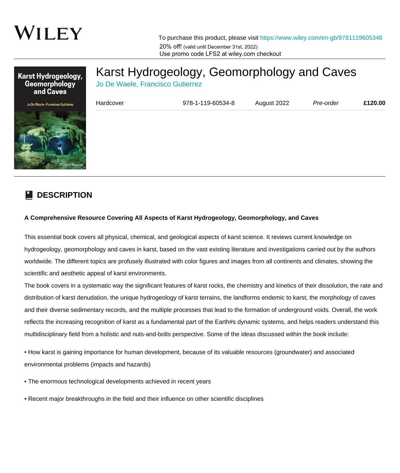

To purchase this product, please visit [https://www.wiley.com/en-gb/9781119605348](https://www.wiley.com/en-gb/Karst+Hydrogeology%2C+Geomorphology+and+Caves-p-9781119605348) 20% off! (valid until December 31st, 2022) Use promo code LFS2 at wiley.com checkout



## [Karst Hydrogeology, Geomorphology and Caves](https://www.wiley.com/en-gb/Karst+Hydrogeology%2C+Geomorphology+and+Caves-p-9781119605348)

Jo De Waele, Francisco Gutierrez

| Hardcover | 978-1-119-60534-8 | August 2022 | Pre-order | £120.00 |
|-----------|-------------------|-------------|-----------|---------|
|           |                   |             |           |         |
|           |                   |             |           |         |
|           |                   |             |           |         |
|           |                   |             |           |         |

## **DESCRIPTION**

## **A Comprehensive Resource Covering All Aspects of Karst Hydrogeology, Geomorphology, and Caves**

This essential book covers all physical, chemical, and geological aspects of karst science. It reviews current knowledge on hydrogeology, geomorphology and caves in karst, based on the vast existing literature and investigations carried out by the authors worldwide. The different topics are profusely illustrated with color figures and images from all continents and climates, showing the scientific and aesthetic appeal of karst environments.

The book covers in a systematic way the significant features of karst rocks, the chemistry and kinetics of their dissolution, the rate and distribution of karst denudation, the unique hydrogeology of karst terrains, the landforms endemic to karst, the morphology of caves and their diverse sedimentary records, and the multiple processes that lead to the formation of underground voids. Overall, the work reflects the increasing recognition of karst as a fundamental part of the Earth#s dynamic systems, and helps readers understand this multidisciplinary field from a holistic and nuts-and-bolts perspective. Some of the ideas discussed within the book include:

• How karst is gaining importance for human development, because of its valuable resources (groundwater) and associated environmental problems (impacts and hazards)

• The enormous technological developments achieved in recent years

• Recent major breakthroughs in the field and their influence on other scientific disciplines